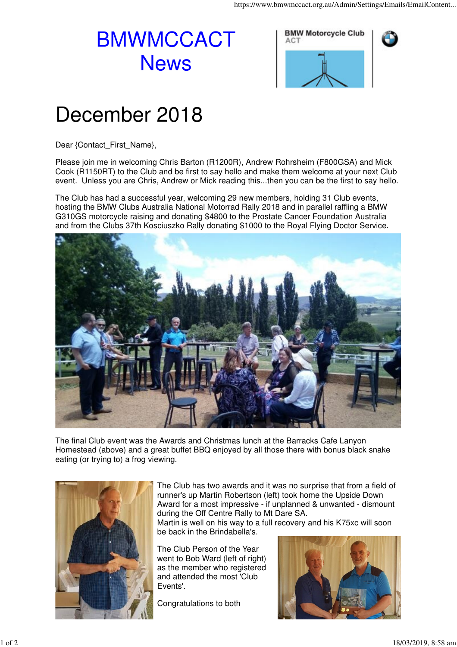## BMWMCCACT **News**



## December 2018

Dear {Contact\_First\_Name},

Please join me in welcoming Chris Barton (R1200R), Andrew Rohrsheim (F800GSA) and Mick Cook (R1150RT) to the Club and be first to say hello and make them welcome at your next Club event. Unless you are Chris, Andrew or Mick reading this...then you can be the first to say hello.

The Club has had a successful year, welcoming 29 new members, holding 31 Club events, hosting the BMW Clubs Australia National Motorrad Rally 2018 and in parallel raffling a BMW G310GS motorcycle raising and donating \$4800 to the Prostate Cancer Foundation Australia and from the Clubs 37th Kosciuszko Rally donating \$1000 to the Royal Flying Doctor Service.



The final Club event was the Awards and Christmas lunch at the Barracks Cafe Lanyon Homestead (above) and a great buffet BBQ enjoyed by all those there with bonus black snake eating (or trying to) a frog viewing.



The Club has two awards and it was no surprise that from a field of runner's up Martin Robertson (left) took home the Upside Down Award for a most impressive - if unplanned & unwanted - dismount during the Off Centre Rally to Mt Dare SA.

Martin is well on his way to a full recovery and his K75xc will soon be back in the Brindabella's.

The Club Person of the Year went to Bob Ward (left of right) as the member who registered and attended the most 'Club Events'.

Congratulations to both